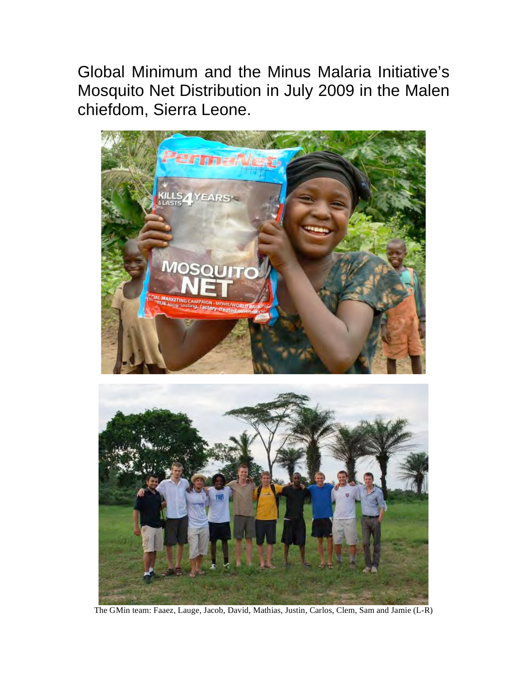Global Minimum and the Minus Malaria Initiative's Mosquito Net Distribution in July 2009 in the Malen chiefdom, Sierra Leone.





The GMin team: Faaez, Lauge, Jacob, David, Mathias, Justin, Carlos, Clem, Sam and Jamie (L-R)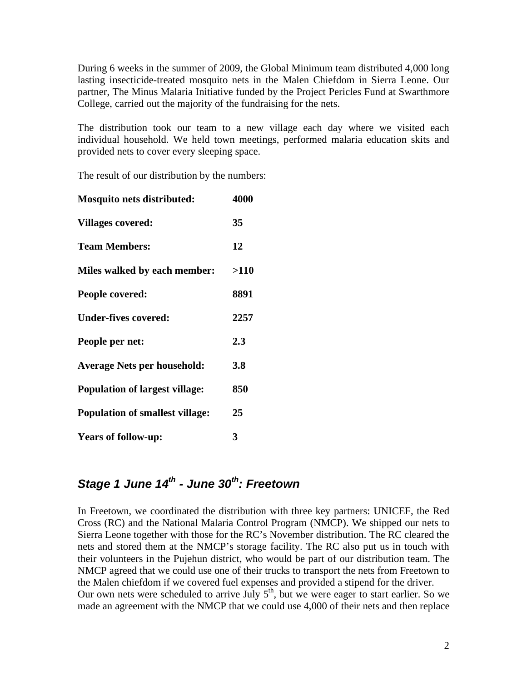During 6 weeks in the summer of 2009, the Global Minimum team distributed 4,000 long lasting insecticide-treated mosquito nets in the Malen Chiefdom in Sierra Leone. Our partner, The Minus Malaria Initiative funded by the Project Pericles Fund at Swarthmore College, carried out the majority of the fundraising for the nets.

The distribution took our team to a new village each day where we visited each individual household. We held town meetings, performed malaria education skits and provided nets to cover every sleeping space.

The result of our distribution by the numbers:

| <b>Mosquito nets distributed:</b>      | 4000 |
|----------------------------------------|------|
| <b>Villages covered:</b>               | 35   |
| <b>Team Members:</b>                   | 12   |
| Miles walked by each member:           | >110 |
| People covered:                        | 8891 |
| <b>Under-fives covered:</b>            | 2257 |
| People per net:                        | 2.3  |
| <b>Average Nets per household:</b>     | 3.8  |
| <b>Population of largest village:</b>  | 850  |
| <b>Population of smallest village:</b> | 25   |
| <b>Years of follow-up:</b>             | 3    |

## *Stage 1 June 14th - June 30th: Freetown*

In Freetown, we coordinated the distribution with three key partners: UNICEF, the Red Cross (RC) and the National Malaria Control Program (NMCP). We shipped our nets to Sierra Leone together with those for the RC's November distribution. The RC cleared the nets and stored them at the NMCP's storage facility. The RC also put us in touch with their volunteers in the Pujehun district, who would be part of our distribution team. The NMCP agreed that we could use one of their trucks to transport the nets from Freetown to the Malen chiefdom if we covered fuel expenses and provided a stipend for the driver. Our own nets were scheduled to arrive July  $5<sup>th</sup>$ , but we were eager to start earlier. So we made an agreement with the NMCP that we could use 4,000 of their nets and then replace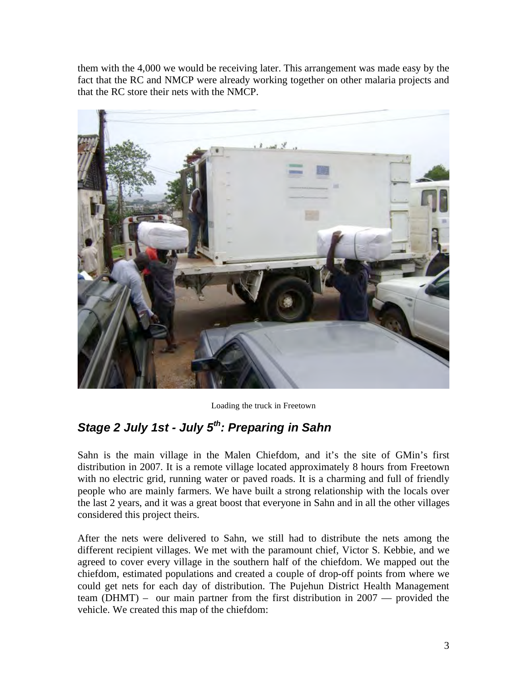them with the 4,000 we would be receiving later. This arrangement was made easy by the fact that the RC and NMCP were already working together on other malaria projects and that the RC store their nets with the NMCP.



Loading the truck in Freetown

# *Stage 2 July 1st - July 5th: Preparing in Sahn*

Sahn is the main village in the Malen Chiefdom, and it's the site of GMin's first distribution in 2007. It is a remote village located approximately 8 hours from Freetown with no electric grid, running water or paved roads. It is a charming and full of friendly people who are mainly farmers. We have built a strong relationship with the locals over the last 2 years, and it was a great boost that everyone in Sahn and in all the other villages considered this project theirs.

After the nets were delivered to Sahn, we still had to distribute the nets among the different recipient villages. We met with the paramount chief, Victor S. Kebbie, and we agreed to cover every village in the southern half of the chiefdom. We mapped out the chiefdom, estimated populations and created a couple of drop-off points from where we could get nets for each day of distribution. The Pujehun District Health Management team (DHMT) – our main partner from the first distribution in 2007 — provided the vehicle. We created this map of the chiefdom: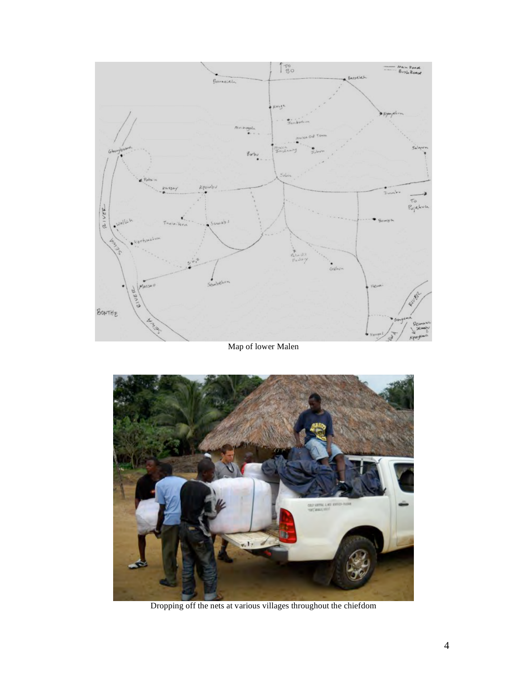

### Map of lower Malen



Dropping off the nets at various villages throughout the chiefdom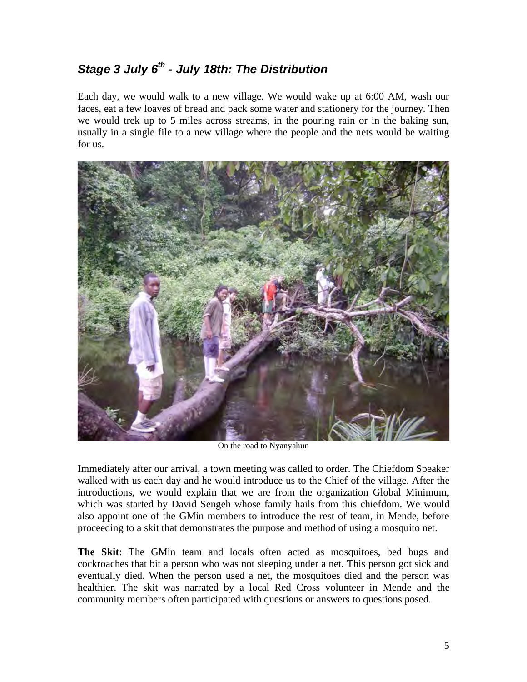## *Stage 3 July 6th - July 18th: The Distribution*

Each day, we would walk to a new village. We would wake up at 6:00 AM, wash our faces, eat a few loaves of bread and pack some water and stationery for the journey. Then we would trek up to 5 miles across streams, in the pouring rain or in the baking sun, usually in a single file to a new village where the people and the nets would be waiting for us.



On the road to Nyanyahun

Immediately after our arrival, a town meeting was called to order. The Chiefdom Speaker walked with us each day and he would introduce us to the Chief of the village. After the introductions, we would explain that we are from the organization Global Minimum, which was started by David Sengeh whose family hails from this chiefdom. We would also appoint one of the GMin members to introduce the rest of team, in Mende, before proceeding to a skit that demonstrates the purpose and method of using a mosquito net.

**The Skit**: The GMin team and locals often acted as mosquitoes, bed bugs and cockroaches that bit a person who was not sleeping under a net. This person got sick and eventually died. When the person used a net, the mosquitoes died and the person was healthier. The skit was narrated by a local Red Cross volunteer in Mende and the community members often participated with questions or answers to questions posed.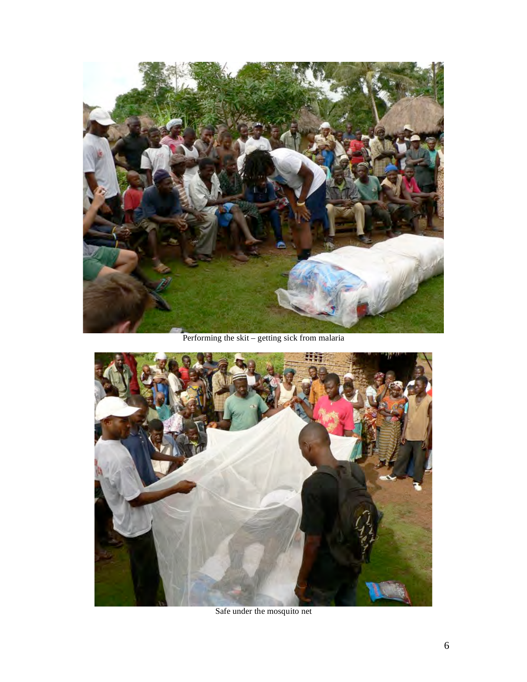

Performing the skit – getting sick from malaria



Safe under the mosquito net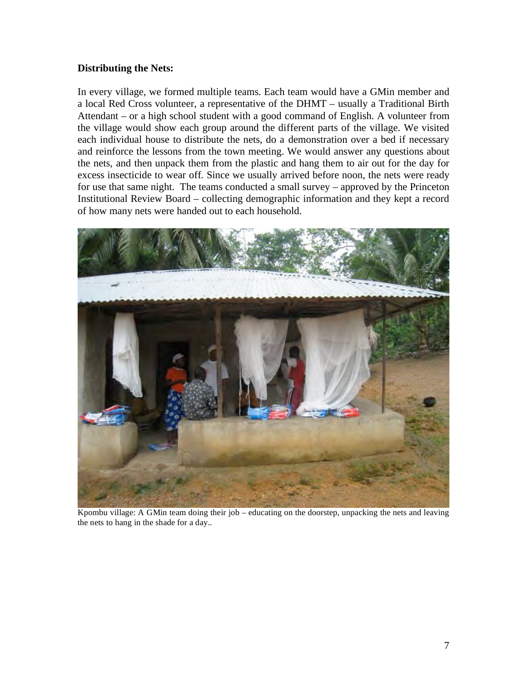### **Distributing the Nets:**

In every village, we formed multiple teams. Each team would have a GMin member and a local Red Cross volunteer, a representative of the DHMT – usually a Traditional Birth Attendant – or a high school student with a good command of English. A volunteer from the village would show each group around the different parts of the village. We visited each individual house to distribute the nets, do a demonstration over a bed if necessary and reinforce the lessons from the town meeting. We would answer any questions about the nets, and then unpack them from the plastic and hang them to air out for the day for excess insecticide to wear off. Since we usually arrived before noon, the nets were ready for use that same night. The teams conducted a small survey – approved by the Princeton Institutional Review Board – collecting demographic information and they kept a record of how many nets were handed out to each household.



Kpombu village: A GMin team doing their job – educating on the doorstep, unpacking the nets and leaving the nets to hang in the shade for a day..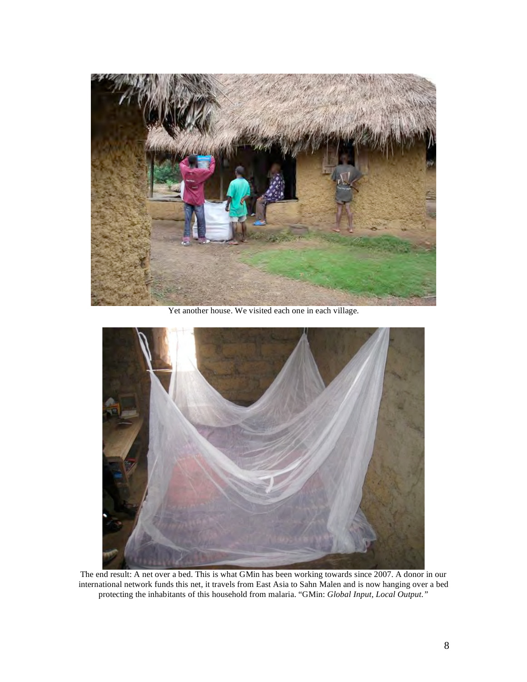

Yet another house. We visited each one in each village.



The end result: A net over a bed. This is what GMin has been working towards since 2007. A donor in our international network funds this net, it travels from East Asia to Sahn Malen and is now hanging over a bed protecting the inhabitants of this household from malaria. "GMin: *Global Input, Local Output."*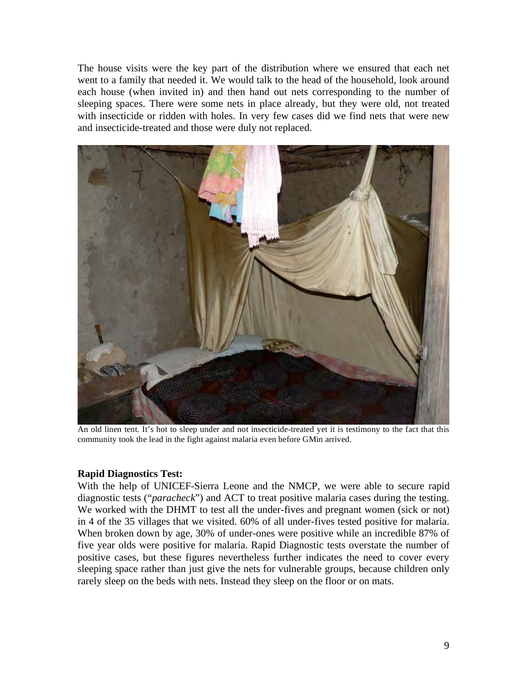The house visits were the key part of the distribution where we ensured that each net went to a family that needed it. We would talk to the head of the household, look around each house (when invited in) and then hand out nets corresponding to the number of sleeping spaces. There were some nets in place already, but they were old, not treated with insecticide or ridden with holes. In very few cases did we find nets that were new and insecticide-treated and those were duly not replaced.



An old linen tent. It's hot to sleep under and not insecticide-treated yet it is testimony to the fact that this community took the lead in the fight against malaria even before GMin arrived.

#### **Rapid Diagnostics Test:**

With the help of UNICEF-Sierra Leone and the NMCP, we were able to secure rapid diagnostic tests ("*paracheck*") and ACT to treat positive malaria cases during the testing. We worked with the DHMT to test all the under-fives and pregnant women (sick or not) in 4 of the 35 villages that we visited. 60% of all under-fives tested positive for malaria. When broken down by age, 30% of under-ones were positive while an incredible 87% of five year olds were positive for malaria. Rapid Diagnostic tests overstate the number of positive cases, but these figures nevertheless further indicates the need to cover every sleeping space rather than just give the nets for vulnerable groups, because children only rarely sleep on the beds with nets. Instead they sleep on the floor or on mats.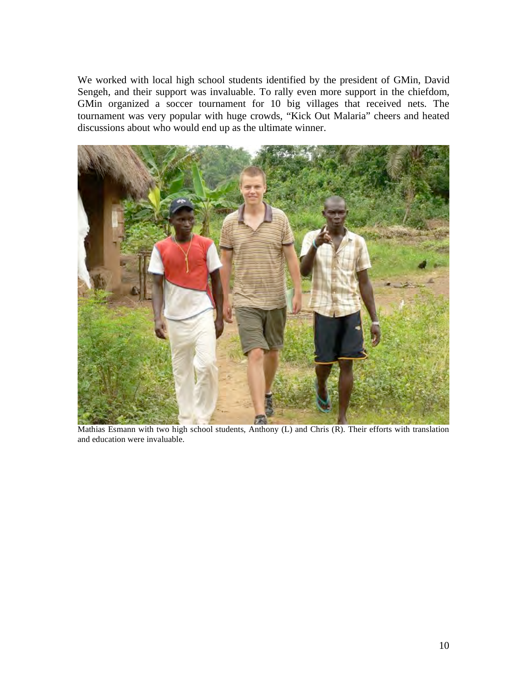We worked with local high school students identified by the president of GMin, David Sengeh, and their support was invaluable. To rally even more support in the chiefdom, GMin organized a soccer tournament for 10 big villages that received nets. The tournament was very popular with huge crowds, "Kick Out Malaria" cheers and heated discussions about who would end up as the ultimate winner.



Mathias Esmann with two high school students, Anthony (L) and Chris (R). Their efforts with translation and education were invaluable.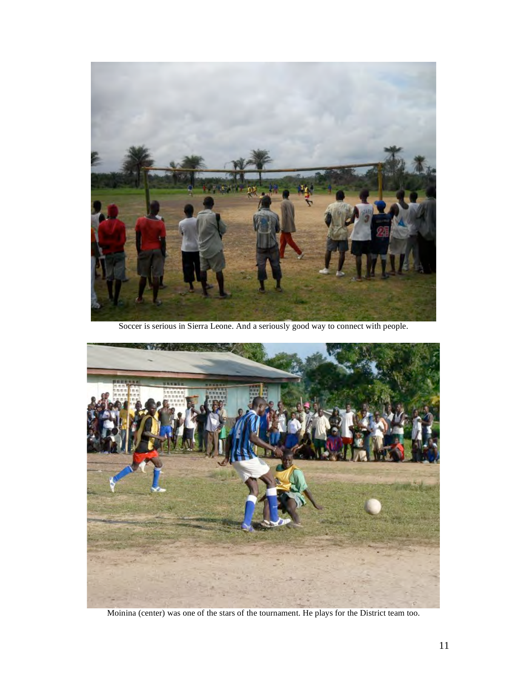

Soccer is serious in Sierra Leone. And a seriously good way to connect with people.



Moinina (center) was one of the stars of the tournament. He plays for the District team too.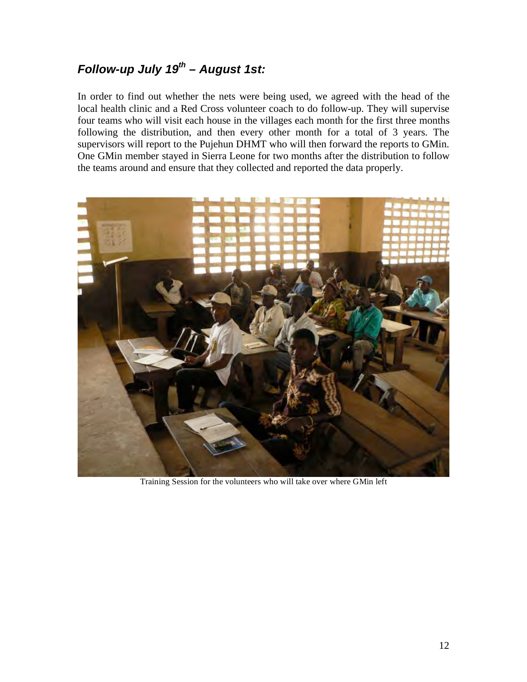# *Follow-up July 19th – August 1st:*

In order to find out whether the nets were being used, we agreed with the head of the local health clinic and a Red Cross volunteer coach to do follow-up. They will supervise four teams who will visit each house in the villages each month for the first three months following the distribution, and then every other month for a total of 3 years. The supervisors will report to the Pujehun DHMT who will then forward the reports to GMin. One GMin member stayed in Sierra Leone for two months after the distribution to follow the teams around and ensure that they collected and reported the data properly.



Training Session for the volunteers who will take over where GMin left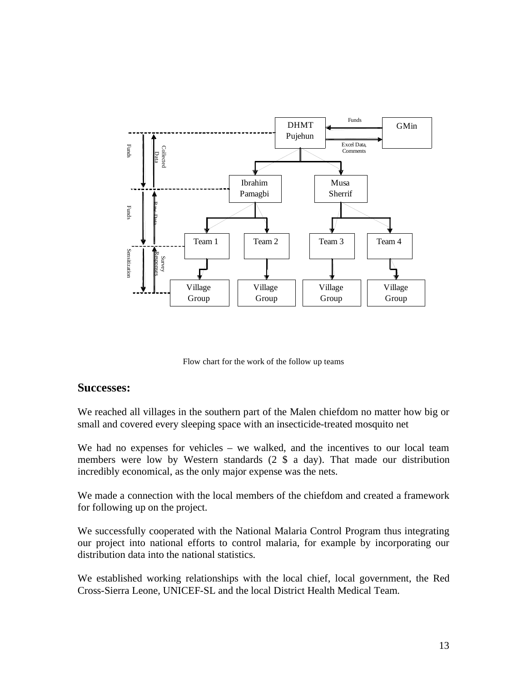

Flow chart for the work of the follow up teams

#### **Successes:**

We reached all villages in the southern part of the Malen chiefdom no matter how big or small and covered every sleeping space with an insecticide-treated mosquito net

We had no expenses for vehicles – we walked, and the incentives to our local team members were low by Western standards (2 \$ a day). That made our distribution incredibly economical, as the only major expense was the nets.

We made a connection with the local members of the chiefdom and created a framework for following up on the project.

We successfully cooperated with the National Malaria Control Program thus integrating our project into national efforts to control malaria, for example by incorporating our distribution data into the national statistics.

We established working relationships with the local chief, local government, the Red Cross-Sierra Leone, UNICEF-SL and the local District Health Medical Team.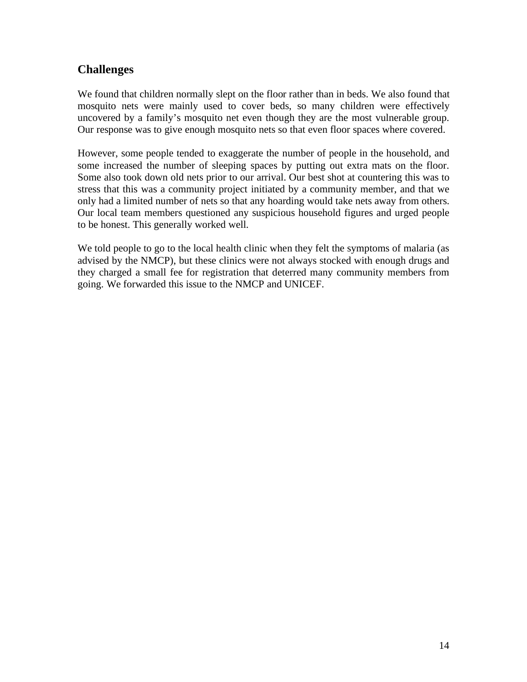### **Challenges**

We found that children normally slept on the floor rather than in beds. We also found that mosquito nets were mainly used to cover beds, so many children were effectively uncovered by a family's mosquito net even though they are the most vulnerable group. Our response was to give enough mosquito nets so that even floor spaces where covered.

However, some people tended to exaggerate the number of people in the household, and some increased the number of sleeping spaces by putting out extra mats on the floor. Some also took down old nets prior to our arrival. Our best shot at countering this was to stress that this was a community project initiated by a community member, and that we only had a limited number of nets so that any hoarding would take nets away from others. Our local team members questioned any suspicious household figures and urged people to be honest. This generally worked well.

We told people to go to the local health clinic when they felt the symptoms of malaria (as advised by the NMCP), but these clinics were not always stocked with enough drugs and they charged a small fee for registration that deterred many community members from going. We forwarded this issue to the NMCP and UNICEF.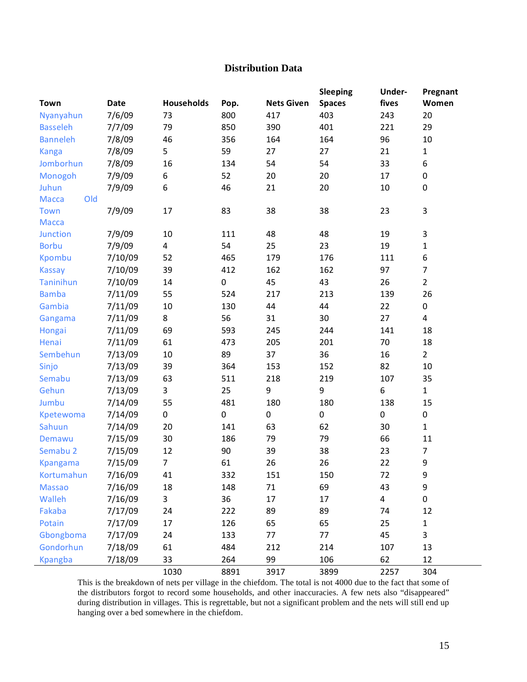### **Distribution Data**

|                     |             |                   |           |                   | Sleeping      | Under-         | Pregnant       |
|---------------------|-------------|-------------------|-----------|-------------------|---------------|----------------|----------------|
| <b>Town</b>         | <b>Date</b> | <b>Households</b> | Pop.      | <b>Nets Given</b> | <b>Spaces</b> | fives          | Women          |
| Nyanyahun           | 7/6/09      | 73                | 800       | 417               | 403           | 243            | 20             |
| <b>Basseleh</b>     | 7/7/09      | 79                | 850       | 390               | 401           | 221            | 29             |
| <b>Banneleh</b>     | 7/8/09      | 46                | 356       | 164               | 164           | 96             | 10             |
| <b>Kanga</b>        | 7/8/09      | 5                 | 59        | 27                | 27            | 21             | $\mathbf{1}$   |
| Jomborhun           | 7/8/09      | 16                | 134       | 54                | 54            | 33             | 6              |
| Monogoh             | 7/9/09      | 6                 | 52        | 20                | 20            | 17             | $\pmb{0}$      |
| Juhun               | 7/9/09      | 6                 | 46        | 21                | 20            | 10             | $\pmb{0}$      |
| Old<br><b>Macca</b> |             |                   |           |                   |               |                |                |
| Town                | 7/9/09      | 17                | 83        | 38                | 38            | 23             | $\mathbf{3}$   |
| <b>Macca</b>        |             |                   |           |                   |               |                |                |
| <b>Junction</b>     | 7/9/09      | 10                | 111       | 48                | 48            | 19             | $\mathbf{3}$   |
| <b>Borbu</b>        | 7/9/09      | $\overline{4}$    | 54        | 25                | 23            | 19             | $\mathbf{1}$   |
| <b>Kpombu</b>       | 7/10/09     | 52                | 465       | 179               | 176           | 111            | 6              |
| <b>Kassay</b>       | 7/10/09     | 39                | 412       | 162               | 162           | 97             | $\overline{7}$ |
| <b>Taninihun</b>    | 7/10/09     | 14                | $\pmb{0}$ | 45                | 43            | 26             | $\overline{2}$ |
| <b>Bamba</b>        | 7/11/09     | 55                | 524       | 217               | 213           | 139            | 26             |
| Gambia              | 7/11/09     | 10                | 130       | 44                | 44            | 22             | 0              |
| Gangama             | 7/11/09     | 8                 | 56        | 31                | 30            | 27             | $\overline{4}$ |
| Hongai              | 7/11/09     | 69                | 593       | 245               | 244           | 141            | 18             |
| Henai               | 7/11/09     | 61                | 473       | 205               | 201           | 70             | 18             |
| Sembehun            | 7/13/09     | $10\,$            | 89        | 37                | 36            | 16             | $\overline{2}$ |
| Sinjo               | 7/13/09     | 39                | 364       | 153               | 152           | 82             | 10             |
| Semabu              | 7/13/09     | 63                | 511       | 218               | 219           | 107            | 35             |
| Gehun               | 7/13/09     | 3                 | 25        | 9                 | 9             | $\,6\,$        | $\mathbf{1}$   |
| Jumbu               | 7/14/09     | 55                | 481       | 180               | 180           | 138            | 15             |
| Kpetewoma           | 7/14/09     | 0                 | $\pmb{0}$ | $\pmb{0}$         | $\pmb{0}$     | $\pmb{0}$      | 0              |
| Sahuun              | 7/14/09     | 20                | 141       | 63                | 62            | 30             | $\mathbf{1}$   |
| Demawu              | 7/15/09     | 30                | 186       | 79                | 79            | 66             | 11             |
| Semabu 2            | 7/15/09     | 12                | 90        | 39                | 38            | 23             | $\overline{7}$ |
| <b>Kpangama</b>     | 7/15/09     | $\overline{7}$    | 61        | 26                | 26            | 22             | 9              |
| Kortumahun          | 7/16/09     | 41                | 332       | 151               | 150           | 72             | 9              |
| <b>Massao</b>       | 7/16/09     | 18                | 148       | 71                | 69            | 43             | 9              |
| Walleh              | 7/16/09     | 3                 | 36        | 17                | 17            | $\overline{4}$ | $\pmb{0}$      |
| Fakaba              | 7/17/09     | 24                | 222       | 89                | 89            | 74             | 12             |
| Potain              | 7/17/09     | 17                | 126       | 65                | 65            | 25             | $\mathbf{1}$   |
| Gbongboma           | 7/17/09     | 24                | 133       | 77                | 77            | 45             | 3              |
| Gondorhun           | 7/18/09     | 61                | 484       | 212               | 214           | 107            | 13             |
| <b>Kpangba</b>      | 7/18/09     | 33                | 264       | 99                | 106           | 62             | 12             |
|                     |             | 1030              | 8891      | 3917              | 3899          | 2257           | 304            |

This is the breakdown of nets per village in the chiefdom. The total is not 4000 due to the fact that some of the distributors forgot to record some households, and other inaccuracies. A few nets also "disappeared" during distribution in villages. This is regrettable, but not a significant problem and the nets will still end up hanging over a bed somewhere in the chiefdom.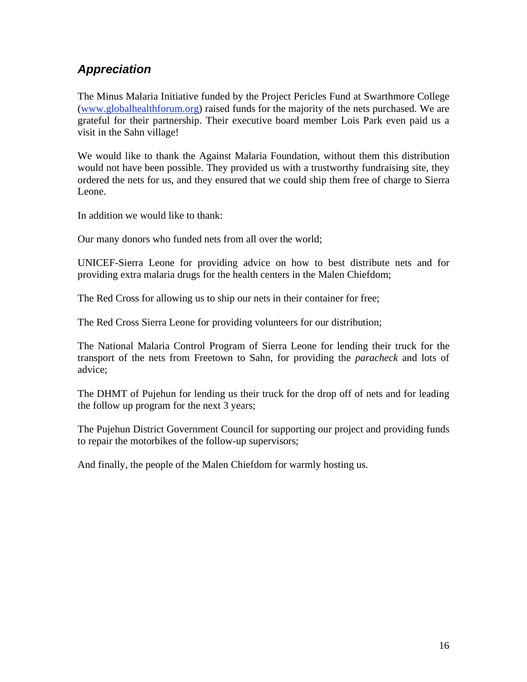## *Appreciation*

The Minus Malaria Initiative funded by the Project Pericles Fund at Swarthmore College (www.globalhealthforum.org) raised funds for the majority of the nets purchased. We are grateful for their partnership. Their executive board member Lois Park even paid us a visit in the Sahn village!

We would like to thank the Against Malaria Foundation, without them this distribution would not have been possible. They provided us with a trustworthy fundraising site, they ordered the nets for us, and they ensured that we could ship them free of charge to Sierra Leone.

In addition we would like to thank:

Our many donors who funded nets from all over the world;

UNICEF-Sierra Leone for providing advice on how to best distribute nets and for providing extra malaria drugs for the health centers in the Malen Chiefdom;

The Red Cross for allowing us to ship our nets in their container for free;

The Red Cross Sierra Leone for providing volunteers for our distribution;

The National Malaria Control Program of Sierra Leone for lending their truck for the transport of the nets from Freetown to Sahn, for providing the *paracheck* and lots of advice;

The DHMT of Pujehun for lending us their truck for the drop off of nets and for leading the follow up program for the next 3 years;

The Pujehun District Government Council for supporting our project and providing funds to repair the motorbikes of the follow-up supervisors;

And finally, the people of the Malen Chiefdom for warmly hosting us.